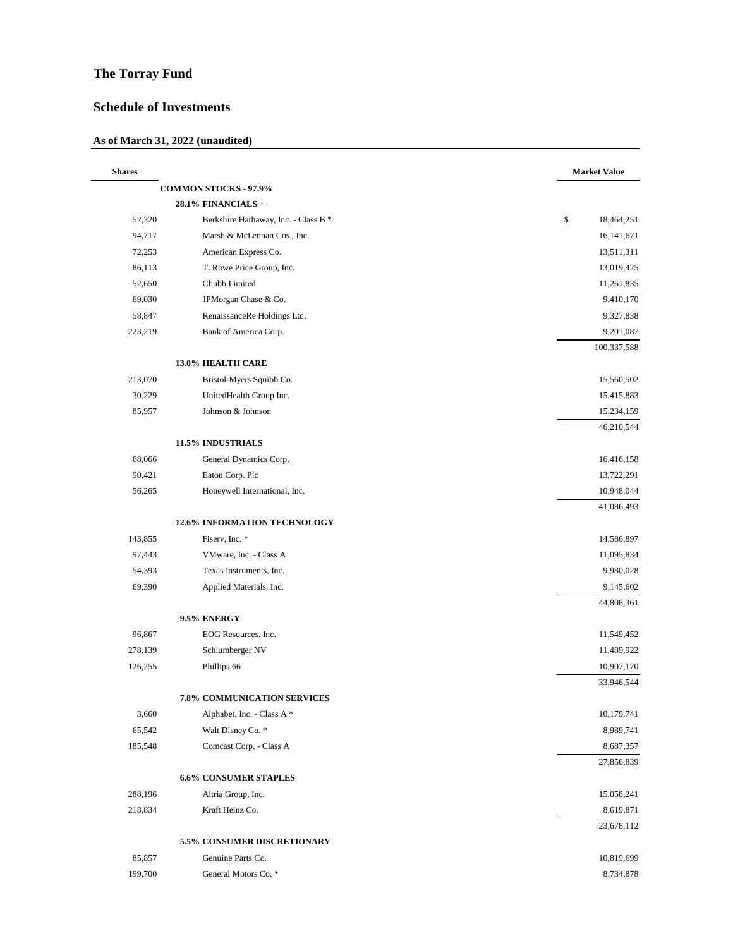## **The Torray Fund**

## **Schedule of Investments**

## **As of March 31, 2022 (unaudited)**

| <b>Shares</b> |                                      | <b>Market Value</b>      |
|---------------|--------------------------------------|--------------------------|
|               | <b>COMMON STOCKS - 97.9%</b>         |                          |
|               | 28.1% FINANCIALS +                   |                          |
| 52,320        | Berkshire Hathaway, Inc. - Class B * | \$<br>18,464,251         |
| 94,717        | Marsh & McLennan Cos., Inc.          | 16, 141, 671             |
| 72,253        | American Express Co.                 | 13,511,311               |
| 86,113        | T. Rowe Price Group, Inc.            | 13,019,425               |
| 52,650        | Chubb Limited                        | 11,261,835               |
| 69,030        | JPMorgan Chase & Co.                 | 9,410,170                |
| 58,847        | RenaissanceRe Holdings Ltd.          | 9,327,838                |
| 223,219       | Bank of America Corp.                | 9,201,087                |
|               |                                      | 100,337,588              |
|               | 13.0% HEALTH CARE                    |                          |
| 213,070       | Bristol-Myers Squibb Co.             | 15,560,502               |
| 30,229        | UnitedHealth Group Inc.              | 15,415,883               |
| 85,957        | Johnson & Johnson                    | 15,234,159               |
|               |                                      | 46,210,544               |
|               | 11.5% INDUSTRIALS                    | 16,416,158               |
| 68,066        | General Dynamics Corp.               |                          |
| 90,421        | Eaton Corp. Plc                      | 13,722,291               |
| 56,265        | Honeywell International, Inc.        | 10,948,044<br>41,086,493 |
|               | <b>12.6% INFORMATION TECHNOLOGY</b>  |                          |
| 143,855       | Fiserv, Inc. *                       | 14,586,897               |
| 97,443        | VMware, Inc. - Class A               | 11,095,834               |
| 54,393        | Texas Instruments, Inc.              | 9,980,028                |
| 69,390        | Applied Materials, Inc.              | 9,145,602                |
|               |                                      | 44,808,361               |
|               | 9.5% ENERGY                          |                          |
| 96,867        | EOG Resources, Inc.                  | 11,549,452               |
| 278,139       | Schlumberger NV                      | 11,489,922               |
| 126,255       | Phillips 66                          | 10,907,170               |
|               |                                      | 33,946,544               |
|               | 7.8% COMMUNICATION SERVICES          |                          |
| 3,660         | Alphabet, Inc. - Class A *           | 10,179,741               |
| 65,542        | Walt Disney Co. *                    | 8,989,741                |
| 185,548       | Comcast Corp. - Class A              | 8,687,357                |
|               |                                      | 27,856,839               |
|               | <b>6.6% CONSUMER STAPLES</b>         |                          |
| 288,196       | Altria Group, Inc.                   | 15,058,241               |
| 218,834       | Kraft Heinz Co.                      | 8,619,871<br>23,678,112  |
|               | 5.5% CONSUMER DISCRETIONARY          |                          |
| 85,857        | Genuine Parts Co.                    | 10,819,699               |
| 199,700       | General Motors Co. *                 | 8,734,878                |
|               |                                      |                          |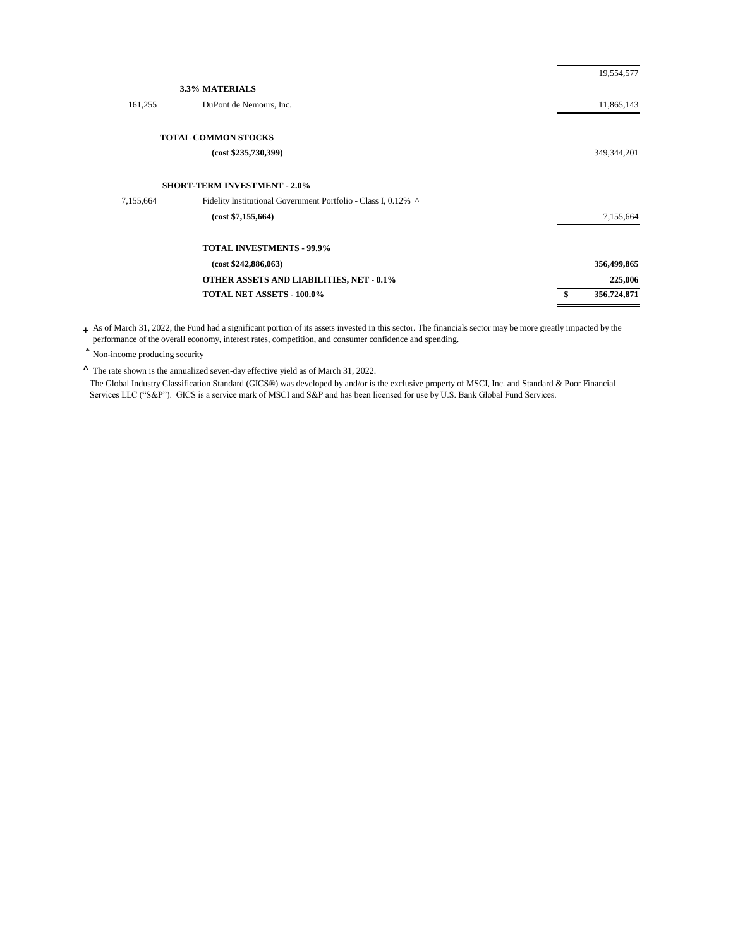| 19,554,577  |
|-------------|
|             |
| 11,865,143  |
|             |
| 349,344,201 |
|             |
|             |
| 7,155,664   |
|             |
| 356,499,865 |
| 225,006     |
| 356,724,871 |
|             |

+ As of March 31, 2022, the Fund had a significant portion of its assets invested in this sector. The financials sector may be more greatly impacted by the performance of the overall economy, interest rates, competition, and consumer confidence and spending.

\* Non-income producing security

^ The rate shown is the annualized seven-day effective yield as of March 31, 2022.

The Global Industry Classification Standard (GICS®) was developed by and/or is the exclusive property of MSCI, Inc. and Standard & Poor Financial Services LLC ("S&P"). GICS is a service mark of MSCI and S&P and has been licensed for use by U.S. Bank Global Fund Services.